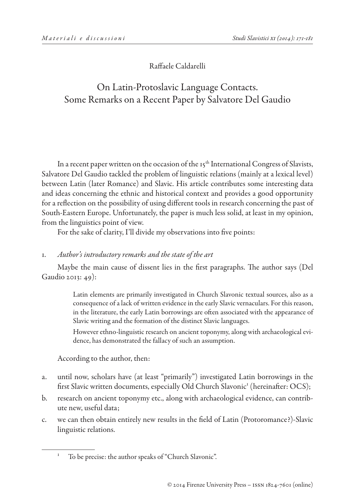Raffaele Caldarelli

# On Latin-Protoslavic Language Contacts. Some Remarks on a Recent Paper by Salvatore Del Gaudio

In a recent paper written on the occasion of the  $15<sup>th</sup>$  International Congress of Slavists, Salvatore Del Gaudio tackled the problem of linguistic relations (mainly at a lexical level) between Latin (later Romance) and Slavic. His article contributes some interesting data and ideas concerning the ethnic and historical context and provides a good opportunity for a reflection on the possibility of using different tools in research concerning the past of South-Eastern Europe. Unfortunately, the paper is much less solid, at least in my opinion, from the linguistics point of view.

For the sake of clarity, I'll divide my observations into five points:

## 1. *Author's introductory remarks and the state of the art*

Maybe the main cause of dissent lies in the first paragraphs. The author says (Del Gaudio 2013: 49):

> Latin elements are primarily investigated in Church Slavonic textual sources, also as a consequence of a lack of written evidence in the early Slavic vernaculars. For this reason, in the literature, the early Latin borrowings are often associated with the appearance of Slavic writing and the formation of the distinct Slavic languages.

> However ethno-linguistic research on ancient toponymy, along with archaeological evidence, has demonstrated the fallacy of such an assumption.

According to the author, then:

- a. until now, scholars have (at least "primarily") investigated Latin borrowings in the first Slavic written documents, especially Old Church Slavonic<sup>1</sup> (hereinafter: OCS);
- b. research on ancient toponymy etc., along with archaeological evidence, can contribute new, useful data;
- c. we can then obtain entirely new results in the field of Latin (Protoromance?)-Slavic linguistic relations.

<sup>&</sup>lt;sup>1</sup> To be precise: the author speaks of "Church Slavonic".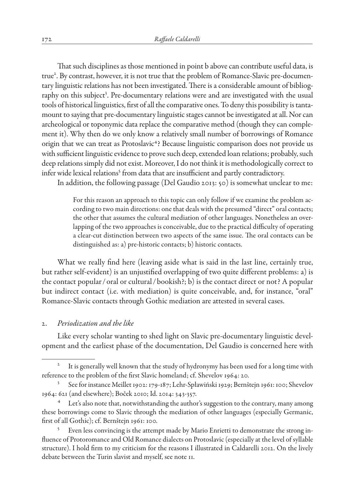That such disciplines as those mentioned in point b above can contribute useful data, is true<sup>2</sup>. By contrast, however, it is not true that the problem of Romance-Slavic pre-documentary linguistic relations has not been investigated. There is a considerable amount of bibliography on this subject<sup>3</sup>. Pre-documentary relations were and are investigated with the usual tools of historical linguistics, first of all the comparative ones. To deny this possibility is tantamount to saying that pre-documentary linguistic stages cannot be investigated at all. Nor can archeological or toponymic data replace the comparative method (though they can complement it). Why then do we only know a relatively small number of borrowings of Romance origin that we can treat as Protoslavic<sup>4</sup>? Because linguistic comparison does not provide us with sufficient linguistic evidence to prove such deep, extended loan relations; probably, such deep relations simply did not exist. Moreover, I do not think it is methodologically correct to infer wide lexical relations<sup>5</sup> from data that are insufficient and partly contradictory.

In addition, the following passage (Del Gaudio 2013: 50) is somewhat unclear to me:

For this reason an approach to this topic can only follow if we examine the problem according to two main directions: one that deals with the presumed "direct" oral contacts; the other that assumes the cultural mediation of other languages. Nonetheless an overlapping of the two approaches is conceivable, due to the practical difficulty of operating a clear-cut distinction between two aspects of the same issue. The oral contacts can be distinguished as: a) pre-historic contacts; b) historic contacts.

What we really find here (leaving aside what is said in the last line, certainly true, but rather self-evident) is an unjustified overlapping of two quite different problems: a) is the contact popular / oral or cultural / bookish?; b) is the contact direct or not? A popular but indirect contact (i.e. with mediation) is quite conceivable, and, for instance, "oral" Romance-Slavic contacts through Gothic mediation are attested in several cases.

#### 2. *Periodization and the like*

Like every scholar wanting to shed light on Slavic pre-documentary linguistic development and the earliest phase of the documentation, Del Gaudio is concerned here with

It is generally well known that the study of hydronymy has been used for a long time with reference to the problem of the first Slavic homeland; cf. Shevelov 1964: 20.

<sup>3</sup> See for instance Meillet 1902: 179-187; Lehr-Spławiński 1929; Bernštejn 1961: 100; Shevelov 1964: 621 (and elsewhere); Boček 2010; Id. 2014: 343-357.

<sup>&</sup>lt;sup>4</sup> Let's also note that, notwithstanding the author's suggestion to the contrary, many among these borrowings come to Slavic through the mediation of other languages (especially Germanic, first of all Gothic); cf. Bernštejn 1961: 100.

<sup>&</sup>lt;sup>5</sup> Even less convincing is the attempt made by Mario Enrietti to demonstrate the strong influence of Protoromance and Old Romance dialects on Protoslavic (especially at the level of syllable structure). I hold firm to my criticism for the reasons I illustrated in Caldarelli 2012. On the lively debate between the Turin slavist and myself, see note 11.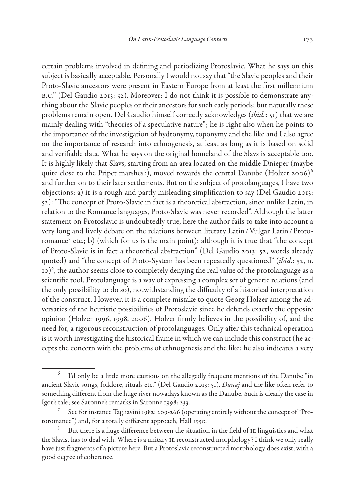certain problems involved in defining and periodizing Protoslavic. What he says on this

subject is basically acceptable. Personally I would not say that "the Slavic peoples and their Proto-Slavic ancestors were present in Eastern Europe from at least the first millennium b.c." (Del Gaudio 2013: 52). Moreover: I do not think it is possible to demonstrate anything about the Slavic peoples or their ancestors for such early periods; but naturally these problems remain open. Del Gaudio himself correctly acknowledges (*ibid.*: 51) that we are mainly dealing with "theories of a speculative nature"; he is right also when he points to the importance of the investigation of hydronymy, toponymy and the like and I also agree on the importance of research into ethnogenesis, at least as long as it is based on solid and verifiable data. What he says on the original homeland of the Slavs is acceptable too. It is highly likely that Slavs, starting from an area located on the middle Dnieper (maybe quite close to the Pripet marshes?), moved towards the central Danube (Holzer 2006)<sup>6</sup> and further on to their later settlements. But on the subject of protolanguages, I have two objections: a) it is a rough and partly misleading simplification to say (Del Gaudio 2013: 52): "The concept of Proto-Slavic in fact is a theoretical abstraction, since unlike Latin, in relation to the Romance languages, Proto-Slavic was never recorded". Although the latter statement on Protoslavic is undoubtedly true, here the author fails to take into account a very long and lively debate on the relations between literary Latin / Vulgar Latin / Protoromance<sup>7</sup> etc.; b) (which for us is the main point): although it is true that "the concept of Proto-Slavic is in fact a theoretical abstraction" (Del Gaudio 2013: 52, words already quoted) and "the concept of Proto-System has been repeatedly questioned" (*ibid.*: 52, n.  $10^{-8}$ , the author seems close to completely denying the real value of the protolanguage as a scientific tool. Protolanguage is a way of expressing a complex set of genetic relations (and the only possibility to do so), notwithstanding the difficulty of a historical interpretation of the construct. However, it is a complete mistake to quote Georg Holzer among the adversaries of the heuristic possibilities of Protoslavic since he defends exactly the opposite opinion (Holzer 1996, 1998, 2006). Holzer firmly believes in the possibility of, and the need for, a rigorous reconstruction of protolanguages. Only after this technical operation is it worth investigating the historical frame in which we can include this construct (he accepts the concern with the problems of ethnogenesis and the like; he also indicates a very

I'd only be a little more cautious on the allegedly frequent mentions of the Danube "in ancient Slavic songs, folklore, rituals etc." (Del Gaudio 2013: 51). *Dunaj* and the like often refer to something different from the huge river nowadays known as the Danube. Such is clearly the case in Igor's tale; see Saronne's remarks in Saronne 1998: 233.

See for instance Tagliavini 1982: 209-266 (operating entirely without the concept of "Protoromance") and, for a totally different approach, Hall 1950.

 $8$  But there is a huge difference between the situation in the field of  $I$  E linguistics and what the Slavist has to deal with. Where is a unitary ie reconstructed morphology? I think we only really have just fragments of a picture here. But a Protoslavic reconstructed morphology does exist, with a good degree of coherence.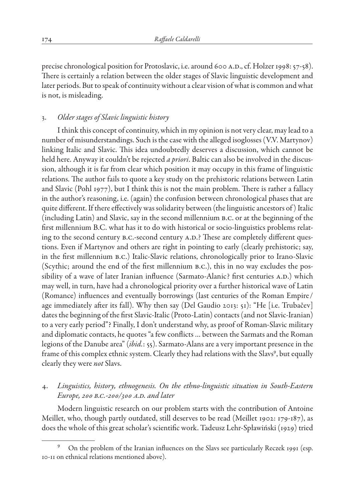precise chronological position for Protoslavic, i.e. around 600 a.d., cf. Holzer 1998: 57-58). There is certainly a relation between the older stages of Slavic linguistic development and later periods. But to speak of continuity without a clear vision of what is common and what is not, is misleading.

## 3. *Older stages of Slavic linguistic history*

I think this concept of continuity, which in my opinion is not very clear, may lead to a number of misunderstandings. Such is the case with the alleged isoglosses (V.V. Martynov) linking Italic and Slavic. This idea undoubtedly deserves a discussion, which cannot be held here. Anyway it couldn't be rejected *a priori*. Baltic can also be involved in the discussion, although it is far from clear which position it may occupy in this frame of linguistic relations. The author fails to quote a key study on the prehistoric relations between Latin and Slavic (Pohl 1977), but I think this is not the main problem. There is rather a fallacy in the author's reasoning, i.e. (again) the confusion between chronological phases that are quite different. If there effectively was solidarity between (the linguistic ancestors of ) Italic (including Latin) and Slavic, say in the second millennium b.c. or at the beginning of the first millennium B.C. what has it to do with historical or socio-linguistics problems relating to the second century B.C.-second century A.D.? These are completely different questions. Even if Martynov and others are right in pointing to early (clearly prehistoric; say, in the first millennium b.c.) Italic-Slavic relations, chronologically prior to Irano-Slavic (Scythic; around the end of the first millennium b.c.), this in no way excludes the possibility of a wave of later Iranian influence (Sarmato-Alanic? first centuries A.D.) which may well, in turn, have had a chronological priority over a further historical wave of Latin (Romance) influences and eventually borrowings (last centuries of the Roman Empire / age immediately after its fall). Why then say (Del Gaudio 2013: 51): "He [i.e. Trubačev] dates the beginning of the first Slavic-Italic (Proto-Latin) contacts (and not Slavic-Iranian) to a very early period"? Finally, I don't understand why, as proof of Roman-Slavic military and diplomatic contacts, he quotes "a few conflicts … between the Sarmats and the Roman legions of the Danube area" (*ibid.*: 55). Sarmato-Alans are a very important presence in the frame of this complex ethnic system. Clearly they had relations with the Slavs<sup>9</sup>, but equally clearly they were *not* Slavs.

## 4. *Linguistics, history, ethnogenesis. On the ethno-linguistic situation in South-Eastern Europe, 200 b.c.-200/300 a.d. and later*

Modern linguistic research on our problem starts with the contribution of Antoine Meillet, who, though partly outdated, still deserves to be read (Meillet 1902: 179-187), as does the whole of this great scholar's scientific work. Tadeusz Lehr-Spławiński (1929) tried

<sup>9</sup> On the problem of the Iranian influences on the Slavs see particularly Reczek 1991 (esp. 10-11 on ethnical relations mentioned above).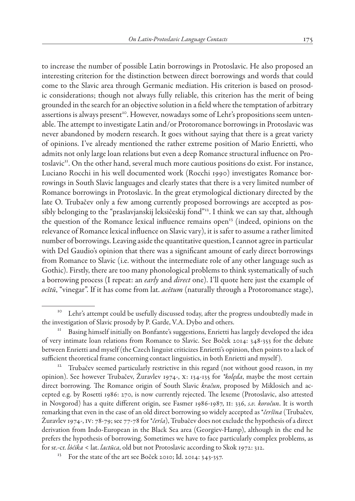to increase the number of possible Latin borrowings in Protoslavic. He also proposed an interesting criterion for the distinction between direct borrowings and words that could come to the Slavic area through Germanic mediation. His criterion is based on prosodic considerations; though not always fully reliable, this criterion has the merit of being grounded in the search for an objective solution in a field where the temptation of arbitrary assertions is always present<sup>10</sup>. However, nowadays some of Lehr's propositions seem untenable. The attempt to investigate Latin and/or Protoromance borrowings in Protoslavic was never abandoned by modern research. It goes without saying that there is a great variety of opinions. I've already mentioned the rather extreme position of Mario Enrietti, who admits not only large loan relations but even a deep Romance structural influence on Protoslavic<sup>11</sup>. On the other hand, several much more cautious positions do exist. For instance, Luciano Rocchi in his well documented work (Rocchi 1990) investigates Romance borrowings in South Slavic languages and clearly states that there is a very limited number of Romance borrowings in Protoslavic. In the great etymological dictionary directed by the late O. Trubačev only a few among currently proposed borrowings are accepted as possibly belonging to the "praslavjanskij leksičeskij fond"12. I think we can say that, although the question of the Romance lexical influence remains open<sup>13</sup> (indeed, opinions on the relevance of Romance lexical influence on Slavic vary), it is safer to assume a rather limited number of borrowings. Leaving aside the quantitative question, I cannot agree in particular with Del Gaudio's opinion that there was a significant amount of early direct borrowings from Romance to Slavic (i.e. without the intermediate role of any other language such as Gothic). Firstly, there are too many phonological problems to think systematically of such a borrowing process (I repeat: an *early* and *direct* one). I'll quote here just the example of *ocĭtŭ*, "vinegar". If it has come from lat. *acētum* (naturally through a Protoromance stage),

<sup>&</sup>lt;sup>10</sup> Lehr's attempt could be usefully discussed today, after the progress undoubtedly made in the investigation of Slavic prosody by P. Garde, V.A. Dybo and others.

Basing himself initially on Bonfante's suggestions, Enrietti has largely developed the idea of very intimate loan relations from Romance to Slavic. See Boček 2014: 348-353 for the debate between Enrietti and myself (the Czech linguist criticizes Enrietti's opinion, then points to a lack of sufficient theoretical frame concerning contact linguistics, in both Enrietti and myself ).

<sup>12</sup> Trubačev seemed particularly restrictive in this regard (not without good reason, in my opinion). See however Trubačev, Žuravlev 1974-, x: 134-135 for *\*kolęda*, maybe the most certain direct borrowing. The Romance origin of South Slavic *kračun*, proposed by Miklosich and accepted e.g. by Rosetti 1986: 270, is now currently rejected. The lexeme (Protoslavic, also attested in Novgorod) has a quite different origin, see Fasmer 1986-1987, ii: 336, *s.v. koročun*. It is worth remarking that even in the case of an old direct borrowing so widely accepted as \**čeršĭna* (Trubačev, Žuravlev 1974-, iv: 78-79; see 77-78 for \**čerša*), Trubačev does not exclude the hypothesis of a direct derivation from Indo-European in the Black Sea area (Georgiev-Hamp), although in the end he prefers the hypothesis of borrowing. Sometimes we have to face particularly complex problems, as for sr.-cr. *lòćika <* lat. *lactūca*, old but not Protoslavic according to Skok 1972: 312.

<sup>&</sup>lt;sup>13</sup> For the state of the art see Boček 2010; Id. 2014: 343-357.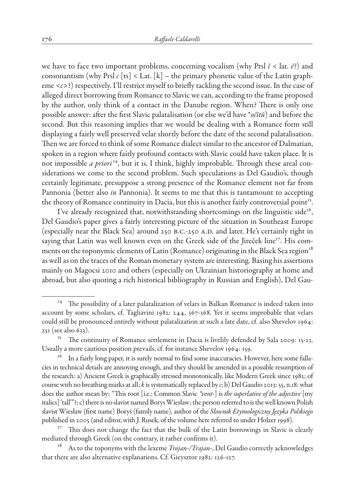we have to face two important problems, concerning vocalism (why Prsl  $\check{i}$  < lat.  $\check{e}$ ?) and consonantism (why Prsl  $c$  [ts] < Lat.  $[k]$  – the primary phonetic value of the Latin grapheme <*c>*?) respectively. I'll restrict myself to briefly tackling the second issue. In the case of alleged direct borrowing from Romance to Slavic we can, according to the frame proposed by the author, only think of a contact in the Danube region. When? There is only one possible answer: after the first Slavic palatalisation (or else we'd have \**očĭtŭ*) and before the second. But this reasoning implies that we would be dealing with a Romance form still displaying a fairly well preserved velar shortly before the date of the second palatalisation. Then we are forced to think of some Romance dialect similar to the ancestor of Dalmatian, spoken in a region where fairly profound contacts with Slavic could have taken place. It is not impossible *a priori*<sup>14</sup>, but it is, I think, highly improbable. Through these areal considerations we come to the second problem. Such speculations as Del Gaudio's, though certainly legitimate, presuppose a strong presence of the Romance element not far from Pannonia (better also *in* Pannonia). It seems to me that this is tantamount to accepting the theory of Romance continuity in Dacia, but this is another fairly controversial point<sup>15</sup>.

I've already recognized that, notwithstanding shortcomings on the linguistic side<sup>16</sup>, Del Gaudio's paper gives a fairly interesting picture of the situation in Southeast Europe (especially near the Black Sea) around 250 B.C.-250 A.D. and later. He's certainly right in saying that Latin was well known even on the Greek side of the Jireček line<sup>17</sup>. His comments on the toponymic elements of Latin (Romance) originating in the Black Sea region<sup>18</sup> as well as on the traces of the Roman monetary system are interesting. Basing his assertions mainly on Magocsi 2010 and others (especially on Ukrainian historiography at home and abroad, but also quoting a rich historical bibliography in Russian and English), Del Gau-

<sup>&</sup>lt;sup>14</sup> The possibility of a later palatalization of velars in Balkan Romance is indeed taken into account by some scholars, cf. Tagliavini 1982: 244, 367-368. Yet it seems improbable that velars could still be pronounced entirely without palatalization at such a late date, cf. also Shevelov 1964: 251 (see also 633).

<sup>&</sup>lt;sup>15</sup> The continuity of Romance settlement in Dacia is livelily defended by Sala 2009: 15-23. Usually a more cautious position prevails, cf. for instance Shevelov 1964: 159.

In a fairly long paper, it is surely normal to find some inaccuracies. However, here some fallacies in technical details are annoying enough, and they should be amended in a possible resumption of the research: a) Ancient Greek is graphically stressed monotonically, like Modern Greek since 1982; of course with no breathing marks at all; *k* is systematically replaced by *c*; b) Del Gaudio 2013: 55, n.18: what does the author mean by: "This root [i.e.: Common Slavic *\*vent-*] is *the superlative of the adjective* [my italics] 'tall'"?; c) there is no slavist named Borys Wiesław; the person referred to is the well known Polish slavist Wiesław (first name) Boryś (family name), author of the *Słownik Etymologiczny Języka Polskiego* published in 2005 (and editor, with J. Rusek, of the volume here referred to under Holzer 1998).

 $17$  This does not change the fact that the bulk of the Latin borrowings in Slavic is clearly mediated through Greek (on the contrary, it rather confirms it).

<sup>18</sup> As to the toponyms with the lexeme *Trojan-/Trajan-*, Del Gaudio correctly acknowledges that there are also alternative explanations. Cf. Gieysztor 1982: 126-127.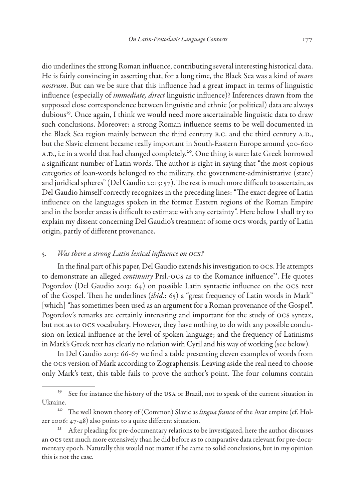dio underlines the strong Roman influence, contributing several interesting historical data. He is fairly convincing in asserting that, for a long time, the Black Sea was a kind of *mare nostrum*. But can we be sure that this influence had a great impact in terms of linguistic influence (especially of *immediate, direct* linguistic influence)? Inferences drawn from the supposed close correspondence between linguistic and ethnic (or political) data are always dubious<sup>19</sup>. Once again, I think we would need more ascertainable linguistic data to draw such conclusions. Moreover: a strong Roman influence seems to be well documented in the Black Sea region mainly between the third century B.C. and the third century A.D., but the Slavic element became really important in South-Eastern Europe around 500-600 A.D., i.e in a world that had changed completely.<sup>20</sup>. One thing is sure: late Greek borrowed a significant number of Latin words. The author is right in saying that "the most copious categories of loan-words belonged to the military, the government-administrative (state) and juridical spheres" (Del Gaudio 2013: 57). The rest is much more difficult to ascertain, as Del Gaudio himself correctly recognizes in the preceding lines: "The exact degree of Latin influence on the languages spoken in the former Eastern regions of the Roman Empire and in the border areas is difficult to estimate with any certainty". Here below I shall try to explain my dissent concerning Del Gaudio's treatment of some ocs words, partly of Latin origin, partly of different provenance.

#### 5. *Was there a strong Latin lexical influence on ocs?*

In the final part of his paper, Del Gaudio extends his investigation to ocs. He attempts to demonstrate an alleged *continuity* Prsl.-OCS as to the Romance influence<sup>21</sup>. He quotes Pogorelov (Del Gaudio 2013: 64) on possible Latin syntactic influence on the ocs text of the Gospel. Then he underlines (*ibid.*: 65) a "great frequency of Latin words in Mark" [which] "has sometimes been used as an argument for a Roman provenance of the Gospel". Pogorelov's remarks are certainly interesting and important for the study of ocs syntax, but not as to ocs vocabulary. However, they have nothing to do with any possible conclusion on lexical influence at the level of spoken language; and the frequency of Latinisms in Mark's Greek text has clearly no relation with Cyril and his way of working (see below).

In Del Gaudio 2013: 66-67 we find a table presenting eleven examples of words from the ocs version of Mark according to Zographensis. Leaving aside the real need to choose only Mark's text, this table fails to prove the author's point. The four columns contain

<sup>&</sup>lt;sup>19</sup> See for instance the history of the USA or Brazil, not to speak of the current situation in Ukraine.

<sup>&</sup>lt;sup>20</sup> The well known theory of (Common) Slavic as *lingua franca* of the Avar empire (cf. Holzer 2006: 47-48) also points to a quite different situation.

<sup>&</sup>lt;sup>21</sup> After pleading for pre-documentary relations to be investigated, here the author discusses an ocs text much more extensively than he did before as to comparative data relevant for pre-documentary epoch. Naturally this would not matter if he came to solid conclusions, but in my opinion this is not the case.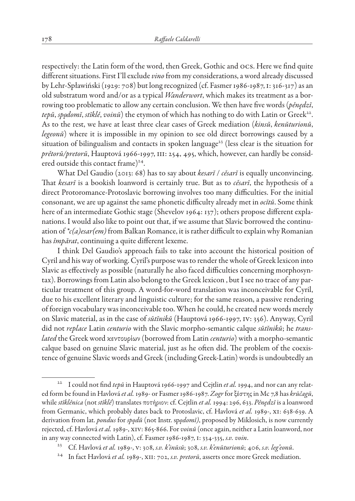respectively: the Latin form of the word, then Greek, Gothic and ocs. Here we find quite different situations. First I'll exclude *vino* from my considerations, a word already discussed by Lehr-Spławiński (1929: 708) but long recognized (cf. Fasmer 1986-1987, i: 316-317) as an old substratum word and/or as a typical *Wanderwort*, which makes its treatment as a borrowing too problematic to allow any certain conclusion. We then have five words (*pěnędzĭ*, *tepŭ*, *spo˛domĭ*, *stĭklě*, *voinŭ*) the etymon of which has nothing to do with Latin or Greek22. As to the rest, we have at least three clear cases of Greek mediation (*kinsŭ*, *kenŭturionŭ*, *legeonŭ*) where it is impossible in my opinion to see old direct borrowings caused by a situation of bilingualism and contacts in spoken language<sup>23</sup> (less clear is the situation for *prětorŭ/pretorŭ*, Hauptová 1966-1997, iii: 254, 495, which, however, can hardly be considered outside this contact frame)<sup>24</sup>.

What Del Gaudio (2013: 68) has to say about *kesarĭ* / *cěsarĭ* is equally unconvincing. That *kesarĭ* is a bookish loanword is certainly true. But as to *cěsarĭ*, the hypothesis of a direct Protoromance-Protoslavic borrowing involves too many difficulties. For the initial consonant, we are up against the same phonetic difficulty already met in *ocĭtŭ*. Some think here of an intermediate Gothic stage (Shevelov 1964: 137); others propose different explanations. I would also like to point out that, if we assume that Slavic borrowed the continuation of *\*c(a)esar(em)* from Balkan Romance, it is rather difficult to explain why Romanian has *împărat*, continuing a quite different lexeme.

I think Del Gaudio's approach fails to take into account the historical position of Cyril and his way of working. Cyril's purpose was to render the whole of Greek lexicon into Slavic as effectively as possible (naturally he also faced difficulties concerning morphosyntax). Borrowings from Latin also belong to the Greek lexicon , but I see no trace of any particular treatment of this group. A word-for-word translation was inconceivable for Cyril, due to his excellent literary and linguistic culture; for the same reason, a passive rendering of foreign vocabulary was inconceivable too. When he could, he created new words merely on Slavic material, as in the case of *sŭtĭnikŭ* (Hauptová 1966-1997, iv: 356). Anyway, Cyril did not *replace* Latin *centurio* with the Slavic morpho-semantic calque *sŭtĭnikŭ*; he *translated* the Greek word ϰεντουρίων (borrowed from Latin *centurio*) with a morpho-semantic calque based on genuine Slavic material, just as he often did. The problem of the coexistence of genuine Slavic words and Greek (including Greek-Latin) words is undoubtedly an

<sup>22</sup> I could not find *tepŭ* in Hauptová 1966-1997 and Cejtlin *et al.* 1994, and nor can any related form be found in Havlová*et al.* 1989- or Fasmer 1986-1987. *Zogr* for ξέστης in Mc 7,8 has *krŭčagŭ*, while *stĭklěnica* (not *stĭklě*) translates ποτήριον: cf. Cejtlin *et al.* 1994: 296, 633. *Pěnędzĭ* is a loanword from Germanic, which probably dates back to Protoslavic, cf. Havlová *et al.* 1989-, xi: 638-639. A derivation from lat. *pondus* for *spo˛dŭ* (not Instr. sp*o˛domĭ)*, proposed by Miklosich, is now currently rejected, cf. Havlová*et al.* 1989-, xiv: 865-866. For *voinŭ* (once again, neither a Latin loanword, nor in any way connected with Latin), cf. Fasmer 1986-1987, i: 334-335, *s.v. voin*.

<sup>23</sup> Cf. Havlová *et al.* 1989-, v: 308, *s.v. k'inŭsŭ*; 308, *s.v. k'enŭturionŭ*; 406, *s.v. leg'eonŭ*.

<sup>24</sup> In fact Havlová *et al.* 1989-, xii: 702, *s.v. pretorŭ*, asserts once more Greek mediation.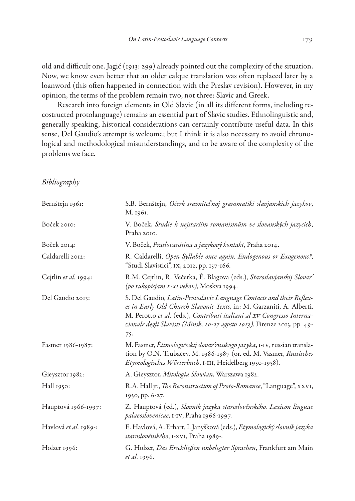old and difficult one. Jagić (1913: 299) already pointed out the complexity of the situation. Now, we know even better that an older calque translation was often replaced later by a loanword (this often happened in connection with the Preslav revision). However, in my opinion, the terms of the problem remain two, not three: Slavic and Greek.

Research into foreign elements in Old Slavic (in all its different forms, including recostructed protolanguage) remains an essential part of Slavic studies. Ethnolinguistic and, generally speaking, historical considerations can certainly contribute useful data. In this sense, Del Gaudio's attempt is welcome; but I think it is also necessary to avoid chronological and methodological misunderstandings, and to be aware of the complexity of the problems we face.

## *Bibliography*

| Bernštejn 1961:       | S.B. Bernštejn, Očerk sravniteľnoj grammatiki slavjanskich jazykov,<br>M. 1961.                                                                                                                                                                                                                           |
|-----------------------|-----------------------------------------------------------------------------------------------------------------------------------------------------------------------------------------------------------------------------------------------------------------------------------------------------------|
| Boček 2010:           | V. Boček, Studie k nejstarším romanismům ve slovanských jazycích,<br>Praha 2010.                                                                                                                                                                                                                          |
| Boček 2014:           | V. Boček, Praslovanština a jazykový kontakt, Praha 2014.                                                                                                                                                                                                                                                  |
| Caldarelli 2012:      | R. Caldarelli, Open Syllable once again. Endogenous or Exogenous?,<br>"Studi Slavistici", IX, 2012, pp. 157-166.                                                                                                                                                                                          |
| Cejtlin et al. 1994:  | R.M. Cejtlin, R. Večerka, Ė. Blagova (eds.), Staroslavjanskij Slovar'<br>(po rukopisjam x-xI vekov), Moskva 1994.                                                                                                                                                                                         |
| Del Gaudio 2013:      | S. Del Gaudio, Latin-Protoslavic Language Contacts and their Reflex-<br>es in Early Old Church Slavonic Texts, in: M. Garzaniti, A. Alberti,<br>M. Perotto et al. (eds.), Contributi italiani al XV Congresso Interna-<br>zionale degli Slavisti (Minsk, 20-27 agosto 2013), Firenze 2013, pp. 49-<br>75. |
| Fasmer 1986-1987:     | M. Fasmer, Etimologičeskij slovar'russkogo jazyka, I-IV, russian transla-<br>tion by O.N. Trubačev, M. 1986-1987 (or. ed. M. Vasmer, Russisches<br>Etymologisches Wörterbuch, I-III, Heidelberg 1950-1958).                                                                                               |
| Gieysztor 1982:       | A. Gieysztor, Mitologia Słowian, Warszawa 1982.                                                                                                                                                                                                                                                           |
| Hall 1950:            | R.A. Hall jr., The Reconstruction of Proto-Romance, "Language", XXVI,<br>1950, pp. 6-27.                                                                                                                                                                                                                  |
| Hauptová 1966-1997:   | Z. Hauptová (ed.), Slovník jazyka staroslověnského. Lexicon linguae<br>palaeoslovenicae, I-IV, Praha 1966-1997.                                                                                                                                                                                           |
| Havlová et al. 1989-: | E. Havlová, A. Erhart, I. Janyšková (eds.), Etymologický slovník jazyka<br>staroslověnského, I-XVI, Praha 1989-.                                                                                                                                                                                          |
| Holzer 1996:          | G. Holzer, Das Erschließen unbelegter Sprachen, Frankfurt am Main<br><i>et al.</i> 1996.                                                                                                                                                                                                                  |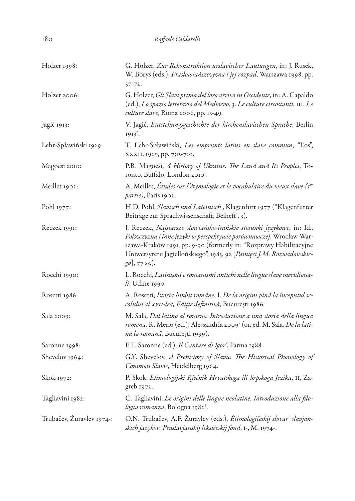| Holzer 1998:              | G. Holzer, Zur Rekonstruktion urslavischer Lautungen, in: J. Rusek,<br>W. Boryś (eds.), Prasłowiańszczyzna i jej rozpad, Warszawa 1998, pp.<br>$57 - 72.$                                                                                                                                                     |
|---------------------------|---------------------------------------------------------------------------------------------------------------------------------------------------------------------------------------------------------------------------------------------------------------------------------------------------------------|
| Holzer 2006:              | G. Holzer, Gli Slavi prima del loro arrivo in Occidente, in: A. Capaldo<br>(ed.), Lo spazio letterario del Medioevo, 3. Le culture circostanti, III. Le<br>culture slave, Roma 2006, pp. 13-49.                                                                                                               |
| Jagić 1913:               | V. Jagić, Entstehungsgeschichte der kirchenslavischen Sprache, Berlin<br>$1913^2$ .                                                                                                                                                                                                                           |
| Lehr-Spławiński 1929:     | T. Lehr-Spławiński, Les emprunts latins en slave commun, "Eos",<br>XXXII, 1929, pp. 705-710.                                                                                                                                                                                                                  |
| Magocsi 2010:             | P.R. Magocsi, A History of Ukraine. The Land and Its Peoples, To-<br>ronto, Buffalo, London 2010 <sup>2</sup> .                                                                                                                                                                                               |
| Meillet 1902:             | A. Meillet, Études sur l'étymologie et le vocabulaire du vieux slave (I <sup>re</sup><br><i>partie)</i> , Paris 1902.                                                                                                                                                                                         |
| Pohl 1977:                | H.D. Pohl, Slavisch und Lateinisch, Klagenfurt 1977 ("Klagenfurter<br>Beiträge zur Sprachwissenschaft, Beiheft", 3).                                                                                                                                                                                          |
| Reczek 1991:              | J. Reczek, Najstarsze słowiańsko-irańskie stosunki językowe, in: Id.,<br>Polszczyzna i inne języki w perspektywie porównawczej, Wrocław-War-<br>szawa-Kraków 1991, pp. 9-90 (formerly in: "Rozprawy Habilitacyjne<br>Uniwersytetu Jagiellońskiego", 1985, 92 [Pamięci J.M. Rozwadowskie-<br>$[go]$ , 77 ss.). |
| Rocchi 1990:              | L. Rocchi, Latinismi e romanismi antichi nelle lingue slave meridiona-<br>$li$ , Udine 1990.                                                                                                                                                                                                                  |
| Rosetti 1986:             | A. Rosetti, Istoria limbii române, I. De la origini pînă la începutul se-<br>colului al xvII-lea, Ediție definitivă, București 1986.                                                                                                                                                                          |
| Sala 2009:                | M. Sala, Dal latino al romeno. Introduzione a una storia della lingua<br>romena, R. Merlo (ed.), Alessandria 2009 <sup>2</sup> (or. ed. M. Sala, <i>De la lati-</i><br>nă la română, București 1999).                                                                                                         |
| Saronne 1998:             | E.T. Saronne (ed.), Il Cantare di Igor', Parma 1988.                                                                                                                                                                                                                                                          |
| Shevelov 1964:            | G.Y. Shevelov, A Prehistory of Slavic. The Historical Phonology of<br>Common Slavic, Heidelberg 1964.                                                                                                                                                                                                         |
| Skok 1972:                | P. Skok, Etimologijski Rječnik Hrvatskoga ili Srpskoga Jezika, II, Za-<br>greb 1972.                                                                                                                                                                                                                          |
| Tagliavini 1982:          | C. Tagliavini, Le origini delle lingue neolatine. Introduzione alla filo-<br>logia romanza, Bologna 19826.                                                                                                                                                                                                    |
| Trubačev, Žuravlev 1974-: | O.N. Trubačev, A.F. Žuravlev (eds.), <i>Etimologičeskij slovar' slavjan-</i><br>skich jazykov. Praslavjanskij leksičeskij fond, 1-, M. 1974-.                                                                                                                                                                 |